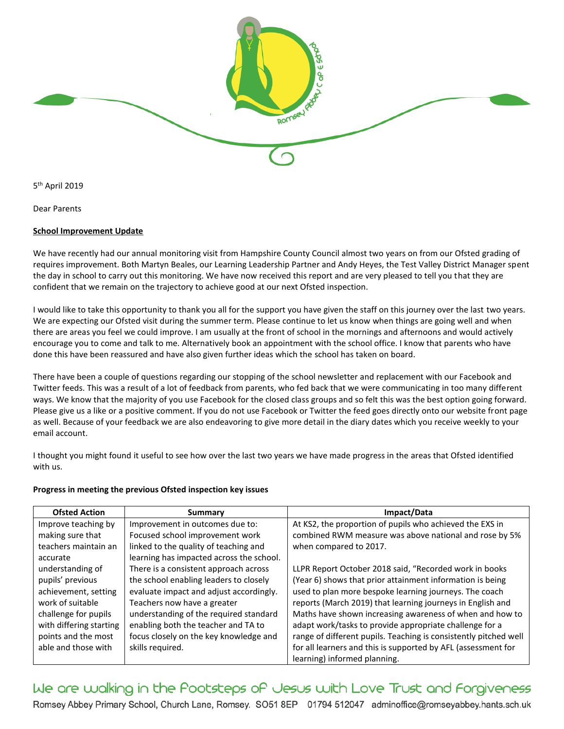

5<sup>th</sup> April 2019

Dear Parents

## **School Improvement Update**

We have recently had our annual monitoring visit from Hampshire County Council almost two years on from our Ofsted grading of requires improvement. Both Martyn Beales, our Learning Leadership Partner and Andy Heyes, the Test Valley District Manager spent the day in school to carry out this monitoring. We have now received this report and are very pleased to tell you that they are confident that we remain on the trajectory to achieve good at our next Ofsted inspection.

I would like to take this opportunity to thank you all for the support you have given the staff on this journey over the last two years. We are expecting our Ofsted visit during the summer term. Please continue to let us know when things are going well and when there are areas you feel we could improve. I am usually at the front of school in the mornings and afternoons and would actively encourage you to come and talk to me. Alternatively book an appointment with the school office. I know that parents who have done this have been reassured and have also given further ideas which the school has taken on board.

There have been a couple of questions regarding our stopping of the school newsletter and replacement with our Facebook and Twitter feeds. This was a result of a lot of feedback from parents, who fed back that we were communicating in too many different ways. We know that the majority of you use Facebook for the closed class groups and so felt this was the best option going forward. Please give us a like or a positive comment. If you do not use Facebook or Twitter the feed goes directly onto our website front page as well. Because of your feedback we are also endeavoring to give more detail in the diary dates which you receive weekly to your email account.

I thought you might found it useful to see how over the last two years we have made progress in the areas that Ofsted identified with us.

## **Progress in meeting the previous Ofsted inspection key issues**

| <b>Ofsted Action</b>    | Summary                                  | Impact/Data                                                      |
|-------------------------|------------------------------------------|------------------------------------------------------------------|
| Improve teaching by     | Improvement in outcomes due to:          | At KS2, the proportion of pupils who achieved the EXS in         |
| making sure that        | Focused school improvement work          | combined RWM measure was above national and rose by 5%           |
| teachers maintain an    | linked to the quality of teaching and    | when compared to 2017.                                           |
| accurate                | learning has impacted across the school. |                                                                  |
| understanding of        | There is a consistent approach across    | LLPR Report October 2018 said, "Recorded work in books           |
| pupils' previous        | the school enabling leaders to closely   | (Year 6) shows that prior attainment information is being        |
| achievement, setting    | evaluate impact and adjust accordingly.  | used to plan more bespoke learning journeys. The coach           |
| work of suitable        | Teachers now have a greater              | reports (March 2019) that learning journeys in English and       |
| challenge for pupils    | understanding of the required standard   | Maths have shown increasing awareness of when and how to         |
| with differing starting | enabling both the teacher and TA to      | adapt work/tasks to provide appropriate challenge for a          |
| points and the most     | focus closely on the key knowledge and   | range of different pupils. Teaching is consistently pitched well |
| able and those with     | skills required.                         | for all learners and this is supported by AFL (assessment for    |
|                         |                                          | learning) informed planning.                                     |

We are walking in the Pootsteps of Jesus with Love Trust and Forgiveness Romsey Abbey Primary School, Church Lane, Romsey. SO51 8EP 01794 512047 adminoffice@romseyabbey.hants.sch.uk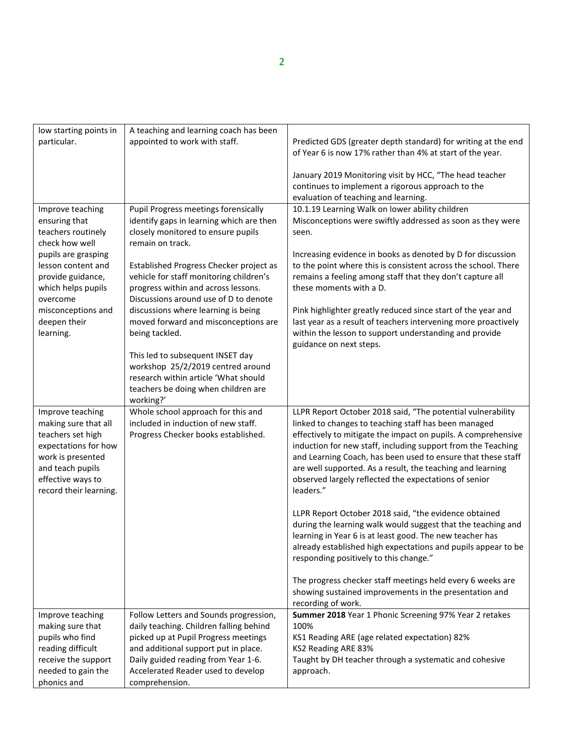| low starting points in | A teaching and learning coach has been   |                                                                |
|------------------------|------------------------------------------|----------------------------------------------------------------|
| particular.            | appointed to work with staff.            | Predicted GDS (greater depth standard) for writing at the end  |
|                        |                                          | of Year 6 is now 17% rather than 4% at start of the year.      |
|                        |                                          |                                                                |
|                        |                                          | January 2019 Monitoring visit by HCC, "The head teacher        |
|                        |                                          | continues to implement a rigorous approach to the              |
|                        |                                          | evaluation of teaching and learning.                           |
| Improve teaching       | Pupil Progress meetings forensically     | 10.1.19 Learning Walk on lower ability children                |
| ensuring that          | identify gaps in learning which are then | Misconceptions were swiftly addressed as soon as they were     |
| teachers routinely     | closely monitored to ensure pupils       | seen.                                                          |
| check how well         | remain on track.                         |                                                                |
| pupils are grasping    |                                          | Increasing evidence in books as denoted by D for discussion    |
| lesson content and     | Established Progress Checker project as  | to the point where this is consistent across the school. There |
| provide guidance,      | vehicle for staff monitoring children's  | remains a feeling among staff that they don't capture all      |
| which helps pupils     | progress within and across lessons.      | these moments with a D.                                        |
| overcome               | Discussions around use of D to denote    |                                                                |
| misconceptions and     | discussions where learning is being      | Pink highlighter greatly reduced since start of the year and   |
| deepen their           | moved forward and misconceptions are     | last year as a result of teachers intervening more proactively |
| learning.              | being tackled.                           | within the lesson to support understanding and provide         |
|                        |                                          | guidance on next steps.                                        |
|                        | This led to subsequent INSET day         |                                                                |
|                        | workshop 25/2/2019 centred around        |                                                                |
|                        | research within article 'What should     |                                                                |
|                        | teachers be doing when children are      |                                                                |
|                        | working?'                                |                                                                |
| Improve teaching       | Whole school approach for this and       | LLPR Report October 2018 said, "The potential vulnerability    |
| making sure that all   | included in induction of new staff.      | linked to changes to teaching staff has been managed           |
| teachers set high      | Progress Checker books established.      | effectively to mitigate the impact on pupils. A comprehensive  |
| expectations for how   |                                          | induction for new staff, including support from the Teaching   |
| work is presented      |                                          | and Learning Coach, has been used to ensure that these staff   |
| and teach pupils       |                                          | are well supported. As a result, the teaching and learning     |
| effective ways to      |                                          | observed largely reflected the expectations of senior          |
| record their learning. |                                          | leaders."                                                      |
|                        |                                          |                                                                |
|                        |                                          | LLPR Report October 2018 said, "the evidence obtained          |
|                        |                                          | during the learning walk would suggest that the teaching and   |
|                        |                                          | learning in Year 6 is at least good. The new teacher has       |
|                        |                                          | already established high expectations and pupils appear to be  |
|                        |                                          | responding positively to this change."                         |
|                        |                                          |                                                                |
|                        |                                          | The progress checker staff meetings held every 6 weeks are     |
|                        |                                          | showing sustained improvements in the presentation and         |
|                        |                                          | recording of work.                                             |
| Improve teaching       | Follow Letters and Sounds progression,   | Summer 2018 Year 1 Phonic Screening 97% Year 2 retakes         |
| making sure that       | daily teaching. Children falling behind  | 100%                                                           |
| pupils who find        | picked up at Pupil Progress meetings     | KS1 Reading ARE (age related expectation) 82%                  |
| reading difficult      | and additional support put in place.     | KS2 Reading ARE 83%                                            |
| receive the support    | Daily guided reading from Year 1-6.      | Taught by DH teacher through a systematic and cohesive         |
| needed to gain the     |                                          |                                                                |
|                        | Accelerated Reader used to develop       | approach.                                                      |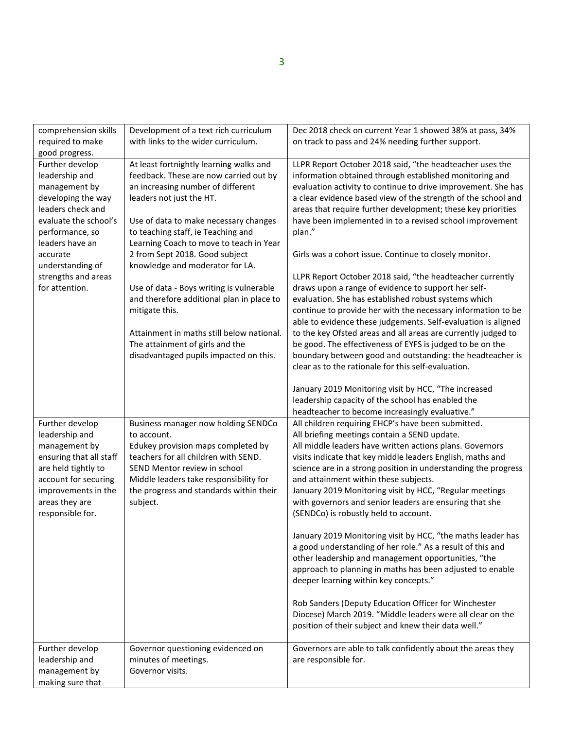| comprehension skills    | Development of a text rich curriculum     | Dec 2018 check on current Year 1 showed 38% at pass, 34%       |
|-------------------------|-------------------------------------------|----------------------------------------------------------------|
| required to make        | with links to the wider curriculum.       | on track to pass and 24% needing further support.              |
| good progress.          |                                           |                                                                |
| Further develop         | At least fortnightly learning walks and   | LLPR Report October 2018 said, "the headteacher uses the       |
| leadership and          | feedback. These are now carried out by    | information obtained through established monitoring and        |
| management by           | an increasing number of different         | evaluation activity to continue to drive improvement. She has  |
| developing the way      | leaders not just the HT.                  | a clear evidence based view of the strength of the school and  |
| leaders check and       |                                           | areas that require further development; these key priorities   |
| evaluate the school's   | Use of data to make necessary changes     | have been implemented in to a revised school improvement       |
| performance, so         | to teaching staff, ie Teaching and        | plan."                                                         |
| leaders have an         | Learning Coach to move to teach in Year   |                                                                |
| accurate                | 2 from Sept 2018. Good subject            | Girls was a cohort issue. Continue to closely monitor.         |
|                         |                                           |                                                                |
| understanding of        | knowledge and moderator for LA.           |                                                                |
| strengths and areas     |                                           | LLPR Report October 2018 said, "the headteacher currently      |
| for attention.          | Use of data - Boys writing is vulnerable  | draws upon a range of evidence to support her self-            |
|                         | and therefore additional plan in place to | evaluation. She has established robust systems which           |
|                         | mitigate this.                            | continue to provide her with the necessary information to be   |
|                         |                                           | able to evidence these judgements. Self-evaluation is aligned  |
|                         | Attainment in maths still below national. | to the key Ofsted areas and all areas are currently judged to  |
|                         | The attainment of girls and the           | be good. The effectiveness of EYFS is judged to be on the      |
|                         | disadvantaged pupils impacted on this.    | boundary between good and outstanding: the headteacher is      |
|                         |                                           | clear as to the rationale for this self-evaluation.            |
|                         |                                           |                                                                |
|                         |                                           | January 2019 Monitoring visit by HCC, "The increased           |
|                         |                                           | leadership capacity of the school has enabled the              |
|                         |                                           | headteacher to become increasingly evaluative."                |
| Further develop         | Business manager now holding SENDCo       | All children requiring EHCP's have been submitted.             |
| leadership and          | to account.                               | All briefing meetings contain a SEND update.                   |
| management by           | Edukey provision maps completed by        | All middle leaders have written actions plans. Governors       |
| ensuring that all staff | teachers for all children with SEND.      | visits indicate that key middle leaders English, maths and     |
| are held tightly to     | SEND Mentor review in school              | science are in a strong position in understanding the progress |
| account for securing    | Middle leaders take responsibility for    | and attainment within these subjects.                          |
| improvements in the     | the progress and standards within their   | January 2019 Monitoring visit by HCC, "Regular meetings        |
| areas they are          | subject.                                  | with governors and senior leaders are ensuring that she        |
| responsible for.        |                                           | (SENDCo) is robustly held to account.                          |
|                         |                                           |                                                                |
|                         |                                           | January 2019 Monitoring visit by HCC, "the maths leader has    |
|                         |                                           | a good understanding of her role." As a result of this and     |
|                         |                                           | other leadership and management opportunities, "the            |
|                         |                                           | approach to planning in maths has been adjusted to enable      |
|                         |                                           | deeper learning within key concepts."                          |
|                         |                                           |                                                                |
|                         |                                           | Rob Sanders (Deputy Education Officer for Winchester           |
|                         |                                           | Diocese) March 2019. "Middle leaders were all clear on the     |
|                         |                                           | position of their subject and knew their data well."           |
|                         |                                           |                                                                |
| Further develop         | Governor questioning evidenced on         | Governors are able to talk confidently about the areas they    |
| leadership and          | minutes of meetings.                      | are responsible for.                                           |
| management by           | Governor visits.                          |                                                                |
| making sure that        |                                           |                                                                |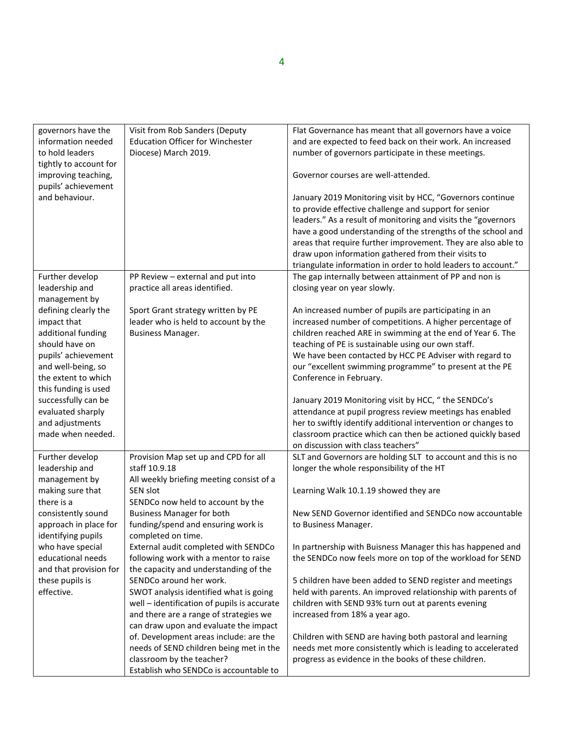| governors have the     | Visit from Rob Sanders (Deputy              | Flat Governance has meant that all governors have a voice     |
|------------------------|---------------------------------------------|---------------------------------------------------------------|
| information needed     | <b>Education Officer for Winchester</b>     | and are expected to feed back on their work. An increased     |
| to hold leaders        | Diocese) March 2019.                        | number of governors participate in these meetings.            |
| tightly to account for |                                             |                                                               |
| improving teaching,    |                                             | Governor courses are well-attended.                           |
| pupils' achievement    |                                             |                                                               |
| and behaviour.         |                                             | January 2019 Monitoring visit by HCC, "Governors continue     |
|                        |                                             | to provide effective challenge and support for senior         |
|                        |                                             | leaders." As a result of monitoring and visits the "governors |
|                        |                                             | have a good understanding of the strengths of the school and  |
|                        |                                             | areas that require further improvement. They are also able to |
|                        |                                             | draw upon information gathered from their visits to           |
|                        |                                             | triangulate information in order to hold leaders to account." |
| Further develop        | PP Review - external and put into           | The gap internally between attainment of PP and non is        |
| leadership and         | practice all areas identified.              | closing year on year slowly.                                  |
| management by          |                                             |                                                               |
| defining clearly the   | Sport Grant strategy written by PE          | An increased number of pupils are participating in an         |
| impact that            | leader who is held to account by the        | increased number of competitions. A higher percentage of      |
| additional funding     | <b>Business Manager.</b>                    | children reached ARE in swimming at the end of Year 6. The    |
| should have on         |                                             | teaching of PE is sustainable using our own staff.            |
| pupils' achievement    |                                             | We have been contacted by HCC PE Adviser with regard to       |
| and well-being, so     |                                             | our "excellent swimming programme" to present at the PE       |
| the extent to which    |                                             | Conference in February.                                       |
| this funding is used   |                                             |                                                               |
| successfully can be    |                                             | January 2019 Monitoring visit by HCC, "the SENDCo's           |
| evaluated sharply      |                                             | attendance at pupil progress review meetings has enabled      |
| and adjustments        |                                             | her to swiftly identify additional intervention or changes to |
| made when needed.      |                                             | classroom practice which can then be actioned quickly based   |
|                        |                                             | on discussion with class teachers"                            |
| Further develop        | Provision Map set up and CPD for all        | SLT and Governors are holding SLT to account and this is no   |
| leadership and         | staff 10.9.18                               | longer the whole responsibility of the HT                     |
| management by          | All weekly briefing meeting consist of a    |                                                               |
| making sure that       | SEN slot                                    | Learning Walk 10.1.19 showed they are                         |
|                        | SENDCo now held to account by the           |                                                               |
| there is a             |                                             |                                                               |
| consistently sound     | <b>Business Manager for both</b>            | New SEND Governor identified and SENDCo now accountable       |
| approach in place for  | funding/spend and ensuring work is          | to Business Manager.                                          |
| identifying pupils     | completed on time.                          |                                                               |
| who have special       | External audit completed with SENDCo        | In partnership with Buisness Manager this has happened and    |
| educational needs      | following work with a mentor to raise       | the SENDCo now feels more on top of the workload for SEND     |
| and that provision for | the capacity and understanding of the       |                                                               |
| these pupils is        | SENDCo around her work.                     | 5 children have been added to SEND register and meetings      |
| effective.             | SWOT analysis identified what is going      | held with parents. An improved relationship with parents of   |
|                        | well - identification of pupils is accurate | children with SEND 93% turn out at parents evening            |
|                        | and there are a range of strategies we      | increased from 18% a year ago.                                |
|                        | can draw upon and evaluate the impact       |                                                               |
|                        | of. Development areas include: are the      | Children with SEND are having both pastoral and learning      |
|                        | needs of SEND children being met in the     | needs met more consistently which is leading to accelerated   |
|                        | classroom by the teacher?                   | progress as evidence in the books of these children.          |
|                        | Establish who SENDCo is accountable to      |                                                               |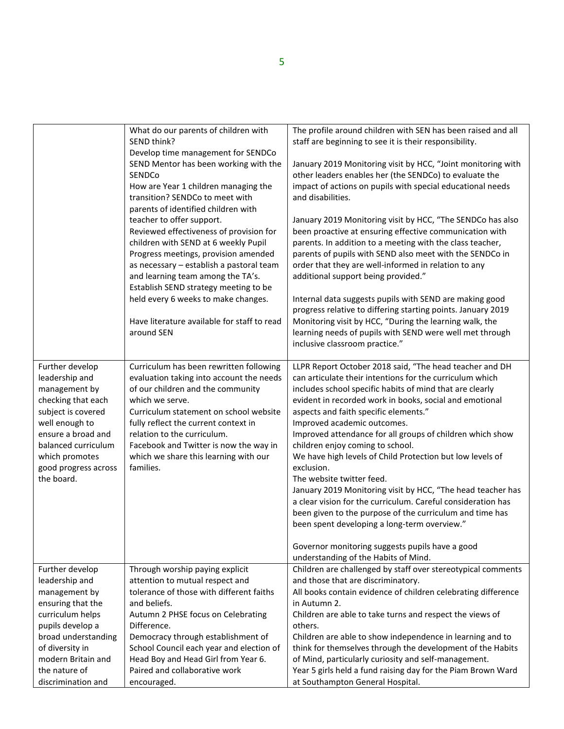|                                                                                                                                                                                                                       | What do our parents of children with<br>SEND think?                                                                                                                                                                                                                                                                                                          | The profile around children with SEN has been raised and all<br>staff are beginning to see it is their responsibility.                                                                                                                                                                                                                                                                                                                                                                                                                                                                                                                                                                                                                                                                                                                                            |
|-----------------------------------------------------------------------------------------------------------------------------------------------------------------------------------------------------------------------|--------------------------------------------------------------------------------------------------------------------------------------------------------------------------------------------------------------------------------------------------------------------------------------------------------------------------------------------------------------|-------------------------------------------------------------------------------------------------------------------------------------------------------------------------------------------------------------------------------------------------------------------------------------------------------------------------------------------------------------------------------------------------------------------------------------------------------------------------------------------------------------------------------------------------------------------------------------------------------------------------------------------------------------------------------------------------------------------------------------------------------------------------------------------------------------------------------------------------------------------|
|                                                                                                                                                                                                                       | Develop time management for SENDCo<br>SEND Mentor has been working with the<br>SENDCo<br>How are Year 1 children managing the<br>transition? SENDCo to meet with<br>parents of identified children with                                                                                                                                                      | January 2019 Monitoring visit by HCC, "Joint monitoring with<br>other leaders enables her (the SENDCo) to evaluate the<br>impact of actions on pupils with special educational needs<br>and disabilities.                                                                                                                                                                                                                                                                                                                                                                                                                                                                                                                                                                                                                                                         |
|                                                                                                                                                                                                                       | teacher to offer support.<br>Reviewed effectiveness of provision for<br>children with SEND at 6 weekly Pupil<br>Progress meetings, provision amended<br>as necessary - establish a pastoral team<br>and learning team among the TA's.<br>Establish SEND strategy meeting to be                                                                               | January 2019 Monitoring visit by HCC, "The SENDCo has also<br>been proactive at ensuring effective communication with<br>parents. In addition to a meeting with the class teacher,<br>parents of pupils with SEND also meet with the SENDCo in<br>order that they are well-informed in relation to any<br>additional support being provided."                                                                                                                                                                                                                                                                                                                                                                                                                                                                                                                     |
|                                                                                                                                                                                                                       | held every 6 weeks to make changes.<br>Have literature available for staff to read<br>around SEN                                                                                                                                                                                                                                                             | Internal data suggests pupils with SEND are making good<br>progress relative to differing starting points. January 2019<br>Monitoring visit by HCC, "During the learning walk, the<br>learning needs of pupils with SEND were well met through<br>inclusive classroom practice."                                                                                                                                                                                                                                                                                                                                                                                                                                                                                                                                                                                  |
| Further develop<br>leadership and<br>management by<br>checking that each<br>subject is covered<br>well enough to<br>ensure a broad and<br>balanced curriculum<br>which promotes<br>good progress across<br>the board. | Curriculum has been rewritten following<br>evaluation taking into account the needs<br>of our children and the community<br>which we serve.<br>Curriculum statement on school website<br>fully reflect the current context in<br>relation to the curriculum.<br>Facebook and Twitter is now the way in<br>which we share this learning with our<br>families. | LLPR Report October 2018 said, "The head teacher and DH<br>can articulate their intentions for the curriculum which<br>includes school specific habits of mind that are clearly<br>evident in recorded work in books, social and emotional<br>aspects and faith specific elements."<br>Improved academic outcomes.<br>Improved attendance for all groups of children which show<br>children enjoy coming to school.<br>We have high levels of Child Protection but low levels of<br>exclusion.<br>The website twitter feed.<br>January 2019 Monitoring visit by HCC, "The head teacher has<br>a clear vision for the curriculum. Careful consideration has<br>been given to the purpose of the curriculum and time has<br>been spent developing a long-term overview."<br>Governor monitoring suggests pupils have a good<br>understanding of the Habits of Mind. |
| Further develop                                                                                                                                                                                                       | Through worship paying explicit                                                                                                                                                                                                                                                                                                                              | Children are challenged by staff over stereotypical comments                                                                                                                                                                                                                                                                                                                                                                                                                                                                                                                                                                                                                                                                                                                                                                                                      |
| leadership and                                                                                                                                                                                                        | attention to mutual respect and                                                                                                                                                                                                                                                                                                                              | and those that are discriminatory.                                                                                                                                                                                                                                                                                                                                                                                                                                                                                                                                                                                                                                                                                                                                                                                                                                |
| management by                                                                                                                                                                                                         | tolerance of those with different faiths                                                                                                                                                                                                                                                                                                                     | All books contain evidence of children celebrating difference                                                                                                                                                                                                                                                                                                                                                                                                                                                                                                                                                                                                                                                                                                                                                                                                     |
| ensuring that the                                                                                                                                                                                                     | and beliefs.                                                                                                                                                                                                                                                                                                                                                 | in Autumn 2.                                                                                                                                                                                                                                                                                                                                                                                                                                                                                                                                                                                                                                                                                                                                                                                                                                                      |
| curriculum helps                                                                                                                                                                                                      | Autumn 2 PHSE focus on Celebrating                                                                                                                                                                                                                                                                                                                           | Children are able to take turns and respect the views of                                                                                                                                                                                                                                                                                                                                                                                                                                                                                                                                                                                                                                                                                                                                                                                                          |
| pupils develop a                                                                                                                                                                                                      | Difference.                                                                                                                                                                                                                                                                                                                                                  | others.                                                                                                                                                                                                                                                                                                                                                                                                                                                                                                                                                                                                                                                                                                                                                                                                                                                           |
| broad understanding                                                                                                                                                                                                   | Democracy through establishment of                                                                                                                                                                                                                                                                                                                           | Children are able to show independence in learning and to                                                                                                                                                                                                                                                                                                                                                                                                                                                                                                                                                                                                                                                                                                                                                                                                         |
| of diversity in<br>modern Britain and                                                                                                                                                                                 | School Council each year and election of<br>Head Boy and Head Girl from Year 6.                                                                                                                                                                                                                                                                              | think for themselves through the development of the Habits<br>of Mind, particularly curiosity and self-management.                                                                                                                                                                                                                                                                                                                                                                                                                                                                                                                                                                                                                                                                                                                                                |
| the nature of                                                                                                                                                                                                         | Paired and collaborative work                                                                                                                                                                                                                                                                                                                                | Year 5 girls held a fund raising day for the Piam Brown Ward                                                                                                                                                                                                                                                                                                                                                                                                                                                                                                                                                                                                                                                                                                                                                                                                      |
| discrimination and                                                                                                                                                                                                    | encouraged.                                                                                                                                                                                                                                                                                                                                                  | at Southampton General Hospital.                                                                                                                                                                                                                                                                                                                                                                                                                                                                                                                                                                                                                                                                                                                                                                                                                                  |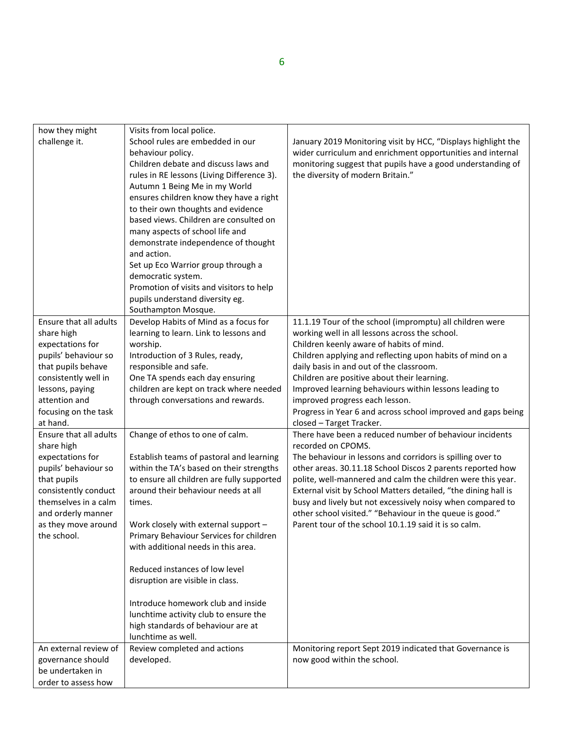| how they might         | Visits from local police.                  |                                                                |
|------------------------|--------------------------------------------|----------------------------------------------------------------|
| challenge it.          | School rules are embedded in our           | January 2019 Monitoring visit by HCC, "Displays highlight the  |
|                        | behaviour policy.                          | wider curriculum and enrichment opportunities and internal     |
|                        | Children debate and discuss laws and       | monitoring suggest that pupils have a good understanding of    |
|                        | rules in RE lessons (Living Difference 3). | the diversity of modern Britain."                              |
|                        | Autumn 1 Being Me in my World              |                                                                |
|                        | ensures children know they have a right    |                                                                |
|                        | to their own thoughts and evidence         |                                                                |
|                        | based views. Children are consulted on     |                                                                |
|                        | many aspects of school life and            |                                                                |
|                        | demonstrate independence of thought        |                                                                |
|                        | and action.                                |                                                                |
|                        | Set up Eco Warrior group through a         |                                                                |
|                        | democratic system.                         |                                                                |
|                        | Promotion of visits and visitors to help   |                                                                |
|                        | pupils understand diversity eg.            |                                                                |
|                        | Southampton Mosque.                        |                                                                |
| Ensure that all adults | Develop Habits of Mind as a focus for      | 11.1.19 Tour of the school (impromptu) all children were       |
| share high             | learning to learn. Link to lessons and     | working well in all lessons across the school.                 |
| expectations for       | worship.                                   | Children keenly aware of habits of mind.                       |
| pupils' behaviour so   | Introduction of 3 Rules, ready,            | Children applying and reflecting upon habits of mind on a      |
| that pupils behave     | responsible and safe.                      | daily basis in and out of the classroom.                       |
| consistently well in   | One TA spends each day ensuring            | Children are positive about their learning.                    |
| lessons, paying        | children are kept on track where needed    | Improved learning behaviours within lessons leading to         |
| attention and          | through conversations and rewards.         | improved progress each lesson.                                 |
| focusing on the task   |                                            | Progress in Year 6 and across school improved and gaps being   |
| at hand.               |                                            | closed - Target Tracker.                                       |
| Ensure that all adults | Change of ethos to one of calm.            | There have been a reduced number of behaviour incidents        |
| share high             |                                            | recorded on CPOMS.                                             |
| expectations for       | Establish teams of pastoral and learning   | The behaviour in lessons and corridors is spilling over to     |
| pupils' behaviour so   | within the TA's based on their strengths   | other areas. 30.11.18 School Discos 2 parents reported how     |
| that pupils            | to ensure all children are fully supported | polite, well-mannered and calm the children were this year.    |
| consistently conduct   | around their behaviour needs at all        | External visit by School Matters detailed, "the dining hall is |
| themselves in a calm   | times.                                     | busy and lively but not excessively noisy when compared to     |
| and orderly manner     |                                            | other school visited." "Behaviour in the queue is good."       |
| as they move around    | Work closely with external support -       | Parent tour of the school 10.1.19 said it is so calm.          |
| the school.            | Primary Behaviour Services for children    |                                                                |
|                        | with additional needs in this area.        |                                                                |
|                        | Reduced instances of low level             |                                                                |
|                        | disruption are visible in class.           |                                                                |
|                        |                                            |                                                                |
|                        | Introduce homework club and inside         |                                                                |
|                        | lunchtime activity club to ensure the      |                                                                |
|                        | high standards of behaviour are at         |                                                                |
|                        | lunchtime as well.                         |                                                                |
| An external review of  | Review completed and actions               | Monitoring report Sept 2019 indicated that Governance is       |
| governance should      | developed.                                 | now good within the school.                                    |
| be undertaken in       |                                            |                                                                |
| order to assess how    |                                            |                                                                |